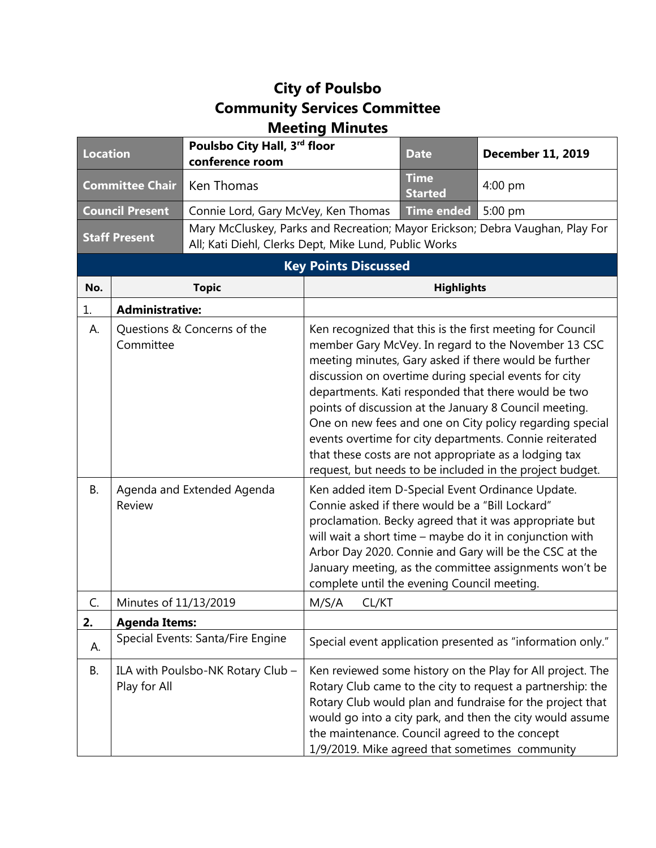## **City of Poulsbo Community Services Committee Meeting Minutes**

| <b>Location</b>             |                        | Poulsbo City Hall, 3rd floor<br>conference room                                                                                        |                                                                                                                                                                                                                                                                                                                                                                                                                                                                                                                                                                                                                                                                                                        | <b>Date</b>                   | <b>December 11, 2019</b>                                                                                                                                                                                                                                                                             |  |
|-----------------------------|------------------------|----------------------------------------------------------------------------------------------------------------------------------------|--------------------------------------------------------------------------------------------------------------------------------------------------------------------------------------------------------------------------------------------------------------------------------------------------------------------------------------------------------------------------------------------------------------------------------------------------------------------------------------------------------------------------------------------------------------------------------------------------------------------------------------------------------------------------------------------------------|-------------------------------|------------------------------------------------------------------------------------------------------------------------------------------------------------------------------------------------------------------------------------------------------------------------------------------------------|--|
| <b>Committee Chair</b>      |                        | Ken Thomas                                                                                                                             |                                                                                                                                                                                                                                                                                                                                                                                                                                                                                                                                                                                                                                                                                                        | <b>Time</b><br><b>Started</b> | $4:00$ pm                                                                                                                                                                                                                                                                                            |  |
| <b>Council Present</b>      |                        | Connie Lord, Gary McVey, Ken Thomas                                                                                                    |                                                                                                                                                                                                                                                                                                                                                                                                                                                                                                                                                                                                                                                                                                        | <b>Time ended</b>             | 5:00 pm                                                                                                                                                                                                                                                                                              |  |
| <b>Staff Present</b>        |                        | Mary McCluskey, Parks and Recreation; Mayor Erickson; Debra Vaughan, Play For<br>All; Kati Diehl, Clerks Dept, Mike Lund, Public Works |                                                                                                                                                                                                                                                                                                                                                                                                                                                                                                                                                                                                                                                                                                        |                               |                                                                                                                                                                                                                                                                                                      |  |
| <b>Key Points Discussed</b> |                        |                                                                                                                                        |                                                                                                                                                                                                                                                                                                                                                                                                                                                                                                                                                                                                                                                                                                        |                               |                                                                                                                                                                                                                                                                                                      |  |
| No.                         |                        | <b>Topic</b>                                                                                                                           |                                                                                                                                                                                                                                                                                                                                                                                                                                                                                                                                                                                                                                                                                                        | <b>Highlights</b>             |                                                                                                                                                                                                                                                                                                      |  |
| 1.                          | <b>Administrative:</b> |                                                                                                                                        |                                                                                                                                                                                                                                                                                                                                                                                                                                                                                                                                                                                                                                                                                                        |                               |                                                                                                                                                                                                                                                                                                      |  |
| А.<br><b>B.</b>             | Committee<br>Review    | Questions & Concerns of the<br>Agenda and Extended Agenda                                                                              | Ken recognized that this is the first meeting for Council<br>member Gary McVey. In regard to the November 13 CSC<br>meeting minutes, Gary asked if there would be further<br>discussion on overtime during special events for city<br>departments. Kati responded that there would be two<br>points of discussion at the January 8 Council meeting.<br>One on new fees and one on City policy regarding special<br>events overtime for city departments. Connie reiterated<br>that these costs are not appropriate as a lodging tax<br>request, but needs to be included in the project budget.<br>Ken added item D-Special Event Ordinance Update.<br>Connie asked if there would be a "Bill Lockard" |                               |                                                                                                                                                                                                                                                                                                      |  |
|                             | Minutes of 11/13/2019  |                                                                                                                                        | proclamation. Becky agreed that it was appropriate but<br>will wait a short time - maybe do it in conjunction with<br>Arbor Day 2020. Connie and Gary will be the CSC at the<br>January meeting, as the committee assignments won't be<br>complete until the evening Council meeting.                                                                                                                                                                                                                                                                                                                                                                                                                  |                               |                                                                                                                                                                                                                                                                                                      |  |
| C.                          |                        |                                                                                                                                        | M/S/A<br>CL/KT                                                                                                                                                                                                                                                                                                                                                                                                                                                                                                                                                                                                                                                                                         |                               |                                                                                                                                                                                                                                                                                                      |  |
| 2.                          | <b>Agenda Items:</b>   | Special Events: Santa/Fire Engine                                                                                                      |                                                                                                                                                                                                                                                                                                                                                                                                                                                                                                                                                                                                                                                                                                        |                               |                                                                                                                                                                                                                                                                                                      |  |
| А.                          |                        |                                                                                                                                        |                                                                                                                                                                                                                                                                                                                                                                                                                                                                                                                                                                                                                                                                                                        |                               | Special event application presented as "information only."                                                                                                                                                                                                                                           |  |
| <b>B.</b>                   | Play for All           | ILA with Poulsbo-NK Rotary Club -                                                                                                      | the maintenance. Council agreed to the concept                                                                                                                                                                                                                                                                                                                                                                                                                                                                                                                                                                                                                                                         |                               | Ken reviewed some history on the Play for All project. The<br>Rotary Club came to the city to request a partnership: the<br>Rotary Club would plan and fundraise for the project that<br>would go into a city park, and then the city would assume<br>1/9/2019. Mike agreed that sometimes community |  |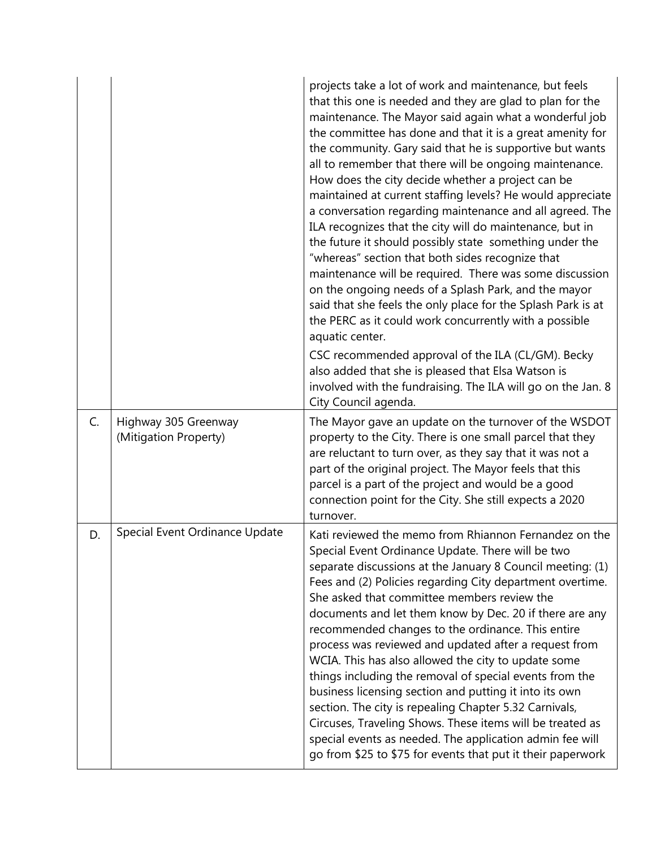|    |                                               | projects take a lot of work and maintenance, but feels<br>that this one is needed and they are glad to plan for the<br>maintenance. The Mayor said again what a wonderful job<br>the committee has done and that it is a great amenity for<br>the community. Gary said that he is supportive but wants<br>all to remember that there will be ongoing maintenance.<br>How does the city decide whether a project can be<br>maintained at current staffing levels? He would appreciate<br>a conversation regarding maintenance and all agreed. The<br>ILA recognizes that the city will do maintenance, but in<br>the future it should possibly state something under the<br>"whereas" section that both sides recognize that<br>maintenance will be required. There was some discussion<br>on the ongoing needs of a Splash Park, and the mayor<br>said that she feels the only place for the Splash Park is at<br>the PERC as it could work concurrently with a possible<br>aquatic center.<br>CSC recommended approval of the ILA (CL/GM). Becky<br>also added that she is pleased that Elsa Watson is |
|----|-----------------------------------------------|---------------------------------------------------------------------------------------------------------------------------------------------------------------------------------------------------------------------------------------------------------------------------------------------------------------------------------------------------------------------------------------------------------------------------------------------------------------------------------------------------------------------------------------------------------------------------------------------------------------------------------------------------------------------------------------------------------------------------------------------------------------------------------------------------------------------------------------------------------------------------------------------------------------------------------------------------------------------------------------------------------------------------------------------------------------------------------------------------------|
|    |                                               | involved with the fundraising. The ILA will go on the Jan. 8<br>City Council agenda.                                                                                                                                                                                                                                                                                                                                                                                                                                                                                                                                                                                                                                                                                                                                                                                                                                                                                                                                                                                                                    |
| C. | Highway 305 Greenway<br>(Mitigation Property) | The Mayor gave an update on the turnover of the WSDOT<br>property to the City. There is one small parcel that they<br>are reluctant to turn over, as they say that it was not a<br>part of the original project. The Mayor feels that this<br>parcel is a part of the project and would be a good<br>connection point for the City. She still expects a 2020<br>turnover.                                                                                                                                                                                                                                                                                                                                                                                                                                                                                                                                                                                                                                                                                                                               |
| D. | Special Event Ordinance Update                | Kati reviewed the memo from Rhiannon Fernandez on the<br>Special Event Ordinance Update. There will be two<br>separate discussions at the January 8 Council meeting: (1)<br>Fees and (2) Policies regarding City department overtime.<br>She asked that committee members review the<br>documents and let them know by Dec. 20 if there are any<br>recommended changes to the ordinance. This entire<br>process was reviewed and updated after a request from<br>WCIA. This has also allowed the city to update some<br>things including the removal of special events from the<br>business licensing section and putting it into its own<br>section. The city is repealing Chapter 5.32 Carnivals,<br>Circuses, Traveling Shows. These items will be treated as<br>special events as needed. The application admin fee will<br>go from \$25 to \$75 for events that put it their paperwork                                                                                                                                                                                                             |